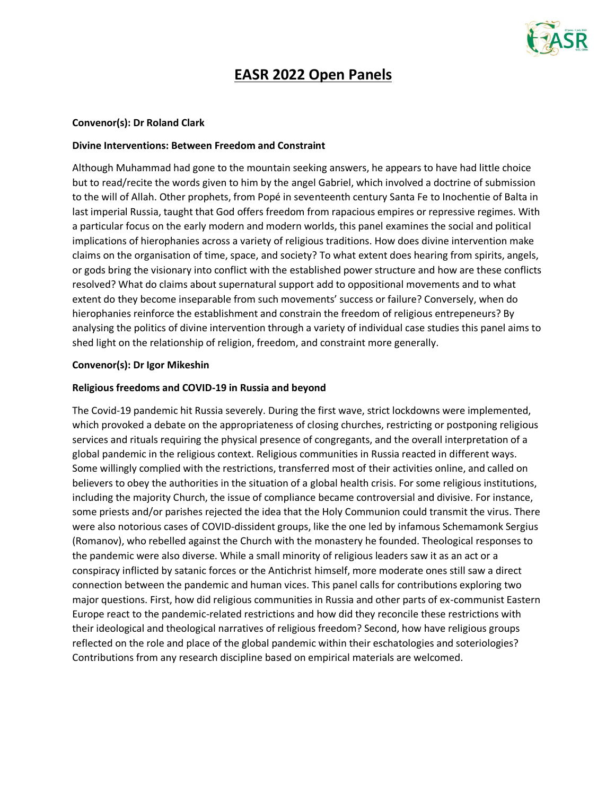

# **EASR 2022 Open Panels**

#### **Convenor(s): Dr Roland Clark**

#### **Divine Interventions: Between Freedom and Constraint**

Although Muhammad had gone to the mountain seeking answers, he appears to have had little choice but to read/recite the words given to him by the angel Gabriel, which involved a doctrine of submission to the will of Allah. Other prophets, from Popé in seventeenth century Santa Fe to Inochentie of Balta in last imperial Russia, taught that God offers freedom from rapacious empires or repressive regimes. With a particular focus on the early modern and modern worlds, this panel examines the social and political implications of hierophanies across a variety of religious traditions. How does divine intervention make claims on the organisation of time, space, and society? To what extent does hearing from spirits, angels, or gods bring the visionary into conflict with the established power structure and how are these conflicts resolved? What do claims about supernatural support add to oppositional movements and to what extent do they become inseparable from such movements' success or failure? Conversely, when do hierophanies reinforce the establishment and constrain the freedom of religious entrepeneurs? By analysing the politics of divine intervention through a variety of individual case studies this panel aims to shed light on the relationship of religion, freedom, and constraint more generally.

#### **Convenor(s): Dr Igor Mikeshin**

#### **Religious freedoms and COVID-19 in Russia and beyond**

The Covid-19 pandemic hit Russia severely. During the first wave, strict lockdowns were implemented, which provoked a debate on the appropriateness of closing churches, restricting or postponing religious services and rituals requiring the physical presence of congregants, and the overall interpretation of a global pandemic in the religious context. Religious communities in Russia reacted in different ways. Some willingly complied with the restrictions, transferred most of their activities online, and called on believers to obey the authorities in the situation of a global health crisis. For some religious institutions, including the majority Church, the issue of compliance became controversial and divisive. For instance, some priests and/or parishes rejected the idea that the Holy Communion could transmit the virus. There were also notorious cases of COVID-dissident groups, like the one led by infamous Schemamonk Sergius (Romanov), who rebelled against the Church with the monastery he founded. Theological responses to the pandemic were also diverse. While a small minority of religious leaders saw it as an act or a conspiracy inflicted by satanic forces or the Antichrist himself, more moderate ones still saw a direct connection between the pandemic and human vices. This panel calls for contributions exploring two major questions. First, how did religious communities in Russia and other parts of ex-communist Eastern Europe react to the pandemic-related restrictions and how did they reconcile these restrictions with their ideological and theological narratives of religious freedom? Second, how have religious groups reflected on the role and place of the global pandemic within their eschatologies and soteriologies? Contributions from any research discipline based on empirical materials are welcomed.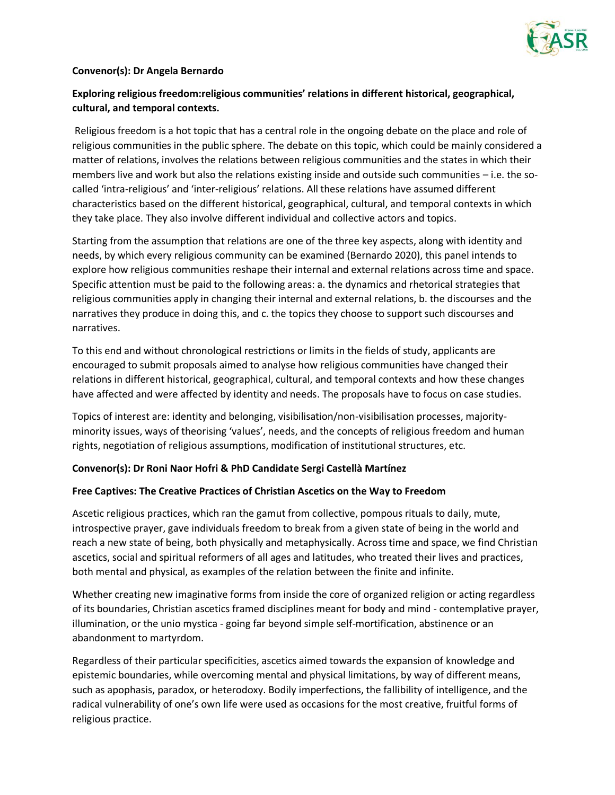

#### **Convenor(s): Dr Angela Bernardo**

# **Exploring religious freedom:religious communities' relations in different historical, geographical, cultural, and temporal contexts.**

Religious freedom is a hot topic that has a central role in the ongoing debate on the place and role of religious communities in the public sphere. The debate on this topic, which could be mainly considered a matter of relations, involves the relations between religious communities and the states in which their members live and work but also the relations existing inside and outside such communities – i.e. the socalled 'intra-religious' and 'inter-religious' relations. All these relations have assumed different characteristics based on the different historical, geographical, cultural, and temporal contexts in which they take place. They also involve different individual and collective actors and topics.

Starting from the assumption that relations are one of the three key aspects, along with identity and needs, by which every religious community can be examined (Bernardo 2020), this panel intends to explore how religious communities reshape their internal and external relations across time and space. Specific attention must be paid to the following areas: a. the dynamics and rhetorical strategies that religious communities apply in changing their internal and external relations, b. the discourses and the narratives they produce in doing this, and c. the topics they choose to support such discourses and narratives.

To this end and without chronological restrictions or limits in the fields of study, applicants are encouraged to submit proposals aimed to analyse how religious communities have changed their relations in different historical, geographical, cultural, and temporal contexts and how these changes have affected and were affected by identity and needs. The proposals have to focus on case studies.

Topics of interest are: identity and belonging, visibilisation/non-visibilisation processes, majorityminority issues, ways of theorising 'values', needs, and the concepts of religious freedom and human rights, negotiation of religious assumptions, modification of institutional structures, etc.

#### **Convenor(s): Dr Roni Naor Hofri & PhD Candidate Sergi Castellà Martínez**

#### **Free Captives: The Creative Practices of Christian Ascetics on the Way to Freedom**

Ascetic religious practices, which ran the gamut from collective, pompous rituals to daily, mute, introspective prayer, gave individuals freedom to break from a given state of being in the world and reach a new state of being, both physically and metaphysically. Across time and space, we find Christian ascetics, social and spiritual reformers of all ages and latitudes, who treated their lives and practices, both mental and physical, as examples of the relation between the finite and infinite.

Whether creating new imaginative forms from inside the core of organized religion or acting regardless of its boundaries, Christian ascetics framed disciplines meant for body and mind - contemplative prayer, illumination, or the unio mystica - going far beyond simple self-mortification, abstinence or an abandonment to martyrdom.

Regardless of their particular specificities, ascetics aimed towards the expansion of knowledge and epistemic boundaries, while overcoming mental and physical limitations, by way of different means, such as apophasis, paradox, or heterodoxy. Bodily imperfections, the fallibility of intelligence, and the radical vulnerability of one's own life were used as occasions for the most creative, fruitful forms of religious practice.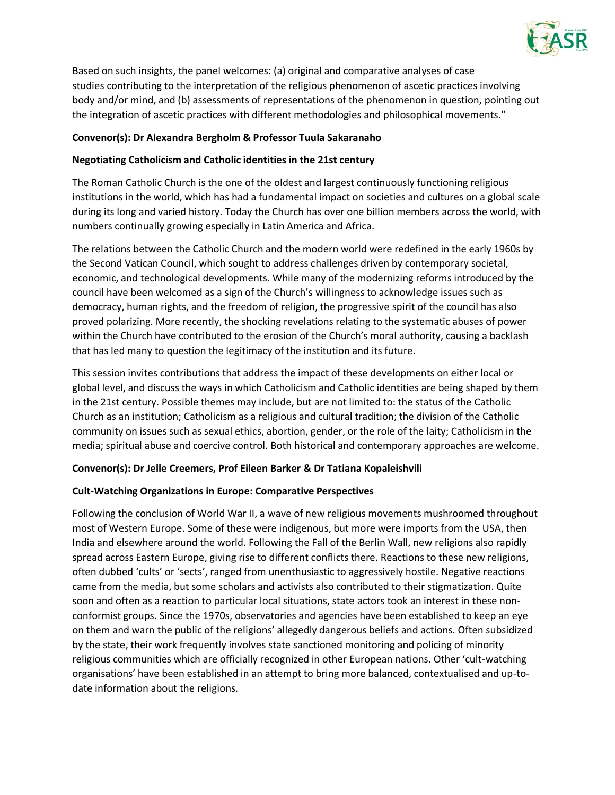

Based on such insights, the panel welcomes: (a) original and comparative analyses of case studies contributing to the interpretation of the religious phenomenon of ascetic practices involving body and/or mind, and (b) assessments of representations of the phenomenon in question, pointing out the integration of ascetic practices with different methodologies and philosophical movements."

# **Convenor(s): Dr Alexandra Bergholm & Professor Tuula Sakaranaho**

# **Negotiating Catholicism and Catholic identities in the 21st century**

The Roman Catholic Church is the one of the oldest and largest continuously functioning religious institutions in the world, which has had a fundamental impact on societies and cultures on a global scale during its long and varied history. Today the Church has over one billion members across the world, with numbers continually growing especially in Latin America and Africa.

The relations between the Catholic Church and the modern world were redefined in the early 1960s by the Second Vatican Council, which sought to address challenges driven by contemporary societal, economic, and technological developments. While many of the modernizing reforms introduced by the council have been welcomed as a sign of the Church's willingness to acknowledge issues such as democracy, human rights, and the freedom of religion, the progressive spirit of the council has also proved polarizing. More recently, the shocking revelations relating to the systematic abuses of power within the Church have contributed to the erosion of the Church's moral authority, causing a backlash that has led many to question the legitimacy of the institution and its future.

This session invites contributions that address the impact of these developments on either local or global level, and discuss the ways in which Catholicism and Catholic identities are being shaped by them in the 21st century. Possible themes may include, but are not limited to: the status of the Catholic Church as an institution; Catholicism as a religious and cultural tradition; the division of the Catholic community on issues such as sexual ethics, abortion, gender, or the role of the laity; Catholicism in the media; spiritual abuse and coercive control. Both historical and contemporary approaches are welcome.

#### **Convenor(s): Dr Jelle Creemers, Prof Eileen Barker & Dr Tatiana Kopaleishvili**

#### **Cult-Watching Organizations in Europe: Comparative Perspectives**

Following the conclusion of World War II, a wave of new religious movements mushroomed throughout most of Western Europe. Some of these were indigenous, but more were imports from the USA, then India and elsewhere around the world. Following the Fall of the Berlin Wall, new religions also rapidly spread across Eastern Europe, giving rise to different conflicts there. Reactions to these new religions, often dubbed 'cults' or 'sects', ranged from unenthusiastic to aggressively hostile. Negative reactions came from the media, but some scholars and activists also contributed to their stigmatization. Quite soon and often as a reaction to particular local situations, state actors took an interest in these nonconformist groups. Since the 1970s, observatories and agencies have been established to keep an eye on them and warn the public of the religions' allegedly dangerous beliefs and actions. Often subsidized by the state, their work frequently involves state sanctioned monitoring and policing of minority religious communities which are officially recognized in other European nations. Other 'cult-watching organisations' have been established in an attempt to bring more balanced, contextualised and up-todate information about the religions.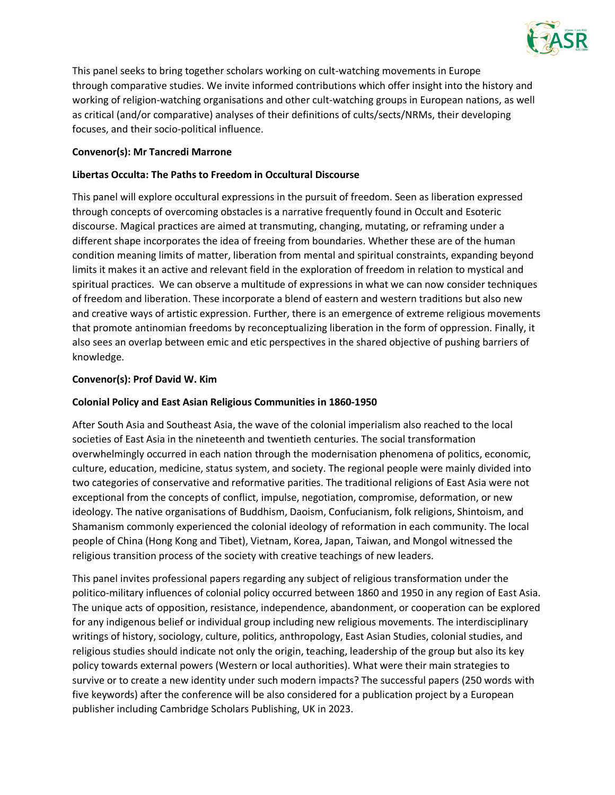

This panel seeks to bring together scholars working on cult-watching movements in Europe through comparative studies. We invite informed contributions which offer insight into the history and working of religion-watching organisations and other cult-watching groups in European nations, as well as critical (and/or comparative) analyses of their definitions of cults/sects/NRMs, their developing focuses, and their socio-political influence.

### **Convenor(s): Mr Tancredi Marrone**

# **Libertas Occulta: The Paths to Freedom in Occultural Discourse**

This panel will explore occultural expressions in the pursuit of freedom. Seen as liberation expressed through concepts of overcoming obstacles is a narrative frequently found in Occult and Esoteric discourse. Magical practices are aimed at transmuting, changing, mutating, or reframing under a different shape incorporates the idea of freeing from boundaries. Whether these are of the human condition meaning limits of matter, liberation from mental and spiritual constraints, expanding beyond limits it makes it an active and relevant field in the exploration of freedom in relation to mystical and spiritual practices. We can observe a multitude of expressions in what we can now consider techniques of freedom and liberation. These incorporate a blend of eastern and western traditions but also new and creative ways of artistic expression. Further, there is an emergence of extreme religious movements that promote antinomian freedoms by reconceptualizing liberation in the form of oppression. Finally, it also sees an overlap between emic and etic perspectives in the shared objective of pushing barriers of knowledge.

# **Convenor(s): Prof David W. Kim**

### **Colonial Policy and East Asian Religious Communities in 1860-1950**

After South Asia and Southeast Asia, the wave of the colonial imperialism also reached to the local societies of East Asia in the nineteenth and twentieth centuries. The social transformation overwhelmingly occurred in each nation through the modernisation phenomena of politics, economic, culture, education, medicine, status system, and society. The regional people were mainly divided into two categories of conservative and reformative parities. The traditional religions of East Asia were not exceptional from the concepts of conflict, impulse, negotiation, compromise, deformation, or new ideology. The native organisations of Buddhism, Daoism, Confucianism, folk religions, Shintoism, and Shamanism commonly experienced the colonial ideology of reformation in each community. The local people of China (Hong Kong and Tibet), Vietnam, Korea, Japan, Taiwan, and Mongol witnessed the religious transition process of the society with creative teachings of new leaders.

This panel invites professional papers regarding any subject of religious transformation under the politico-military influences of colonial policy occurred between 1860 and 1950 in any region of East Asia. The unique acts of opposition, resistance, independence, abandonment, or cooperation can be explored for any indigenous belief or individual group including new religious movements. The interdisciplinary writings of history, sociology, culture, politics, anthropology, East Asian Studies, colonial studies, and religious studies should indicate not only the origin, teaching, leadership of the group but also its key policy towards external powers (Western or local authorities). What were their main strategies to survive or to create a new identity under such modern impacts? The successful papers (250 words with five keywords) after the conference will be also considered for a publication project by a European publisher including Cambridge Scholars Publishing, UK in 2023.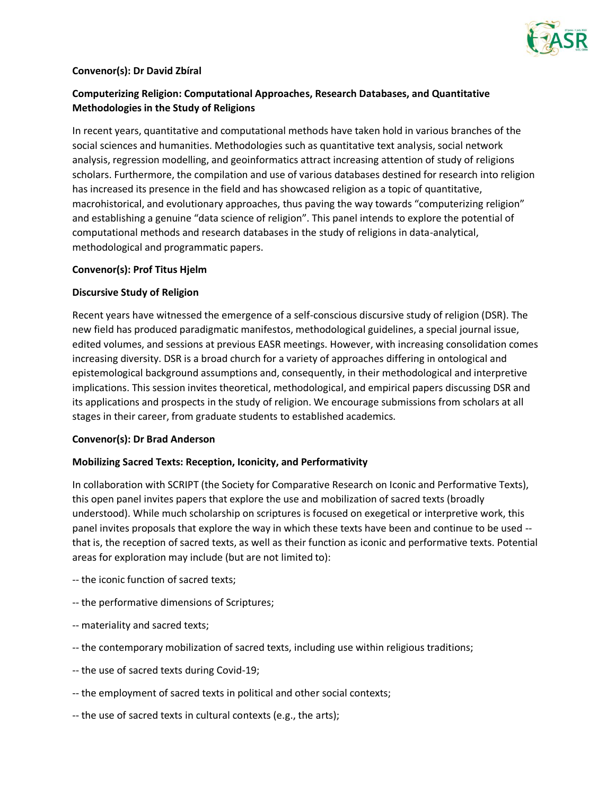

#### **Convenor(s): Dr David Zbíral**

# **Computerizing Religion: Computational Approaches, Research Databases, and Quantitative Methodologies in the Study of Religions**

In recent years, quantitative and computational methods have taken hold in various branches of the social sciences and humanities. Methodologies such as quantitative text analysis, social network analysis, regression modelling, and geoinformatics attract increasing attention of study of religions scholars. Furthermore, the compilation and use of various databases destined for research into religion has increased its presence in the field and has showcased religion as a topic of quantitative, macrohistorical, and evolutionary approaches, thus paving the way towards "computerizing religion" and establishing a genuine "data science of religion". This panel intends to explore the potential of computational methods and research databases in the study of religions in data-analytical, methodological and programmatic papers.

#### **Convenor(s): Prof Titus Hjelm**

#### **Discursive Study of Religion**

Recent years have witnessed the emergence of a self-conscious discursive study of religion (DSR). The new field has produced paradigmatic manifestos, methodological guidelines, a special journal issue, edited volumes, and sessions at previous EASR meetings. However, with increasing consolidation comes increasing diversity. DSR is a broad church for a variety of approaches differing in ontological and epistemological background assumptions and, consequently, in their methodological and interpretive implications. This session invites theoretical, methodological, and empirical papers discussing DSR and its applications and prospects in the study of religion. We encourage submissions from scholars at all stages in their career, from graduate students to established academics.

#### **Convenor(s): Dr Brad Anderson**

#### **Mobilizing Sacred Texts: Reception, Iconicity, and Performativity**

In collaboration with SCRIPT (the Society for Comparative Research on Iconic and Performative Texts), this open panel invites papers that explore the use and mobilization of sacred texts (broadly understood). While much scholarship on scriptures is focused on exegetical or interpretive work, this panel invites proposals that explore the way in which these texts have been and continue to be used - that is, the reception of sacred texts, as well as their function as iconic and performative texts. Potential areas for exploration may include (but are not limited to):

- -- the iconic function of sacred texts;
- -- the performative dimensions of Scriptures;
- -- materiality and sacred texts;
- -- the contemporary mobilization of sacred texts, including use within religious traditions;
- -- the use of sacred texts during Covid-19;
- -- the employment of sacred texts in political and other social contexts;
- -- the use of sacred texts in cultural contexts (e.g., the arts);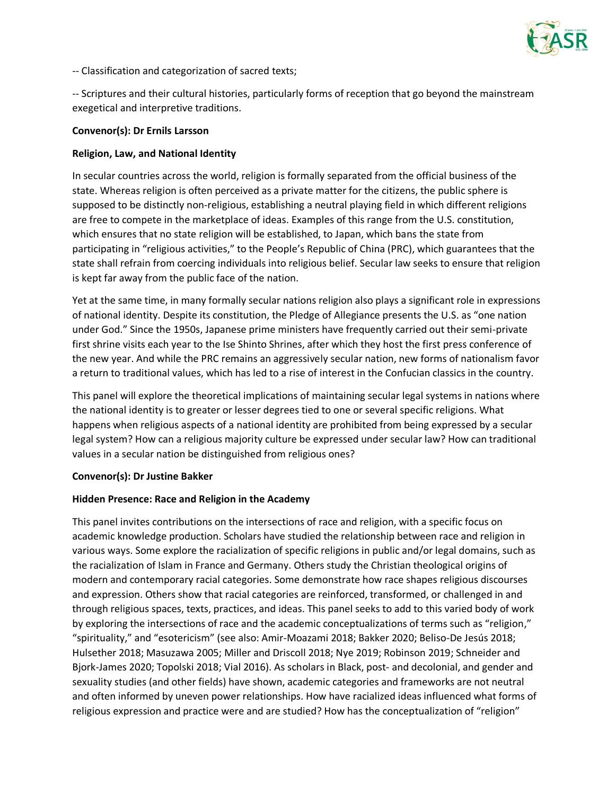

-- Classification and categorization of sacred texts;

-- Scriptures and their cultural histories, particularly forms of reception that go beyond the mainstream exegetical and interpretive traditions.

#### **Convenor(s): Dr Ernils Larsson**

#### **Religion, Law, and National Identity**

In secular countries across the world, religion is formally separated from the official business of the state. Whereas religion is often perceived as a private matter for the citizens, the public sphere is supposed to be distinctly non-religious, establishing a neutral playing field in which different religions are free to compete in the marketplace of ideas. Examples of this range from the U.S. constitution, which ensures that no state religion will be established, to Japan, which bans the state from participating in "religious activities," to the People's Republic of China (PRC), which guarantees that the state shall refrain from coercing individuals into religious belief. Secular law seeks to ensure that religion is kept far away from the public face of the nation.

Yet at the same time, in many formally secular nations religion also plays a significant role in expressions of national identity. Despite its constitution, the Pledge of Allegiance presents the U.S. as "one nation under God." Since the 1950s, Japanese prime ministers have frequently carried out their semi-private first shrine visits each year to the Ise Shinto Shrines, after which they host the first press conference of the new year. And while the PRC remains an aggressively secular nation, new forms of nationalism favor a return to traditional values, which has led to a rise of interest in the Confucian classics in the country.

This panel will explore the theoretical implications of maintaining secular legal systems in nations where the national identity is to greater or lesser degrees tied to one or several specific religions. What happens when religious aspects of a national identity are prohibited from being expressed by a secular legal system? How can a religious majority culture be expressed under secular law? How can traditional values in a secular nation be distinguished from religious ones?

#### **Convenor(s): Dr Justine Bakker**

#### **Hidden Presence: Race and Religion in the Academy**

This panel invites contributions on the intersections of race and religion, with a specific focus on academic knowledge production. Scholars have studied the relationship between race and religion in various ways. Some explore the racialization of specific religions in public and/or legal domains, such as the racialization of Islam in France and Germany. Others study the Christian theological origins of modern and contemporary racial categories. Some demonstrate how race shapes religious discourses and expression. Others show that racial categories are reinforced, transformed, or challenged in and through religious spaces, texts, practices, and ideas. This panel seeks to add to this varied body of work by exploring the intersections of race and the academic conceptualizations of terms such as "religion," "spirituality," and "esotericism" (see also: Amir-Moazami 2018; Bakker 2020; Beliso-De Jesús 2018; Hulsether 2018; Masuzawa 2005; Miller and Driscoll 2018; Nye 2019; Robinson 2019; Schneider and Bjork-James 2020; Topolski 2018; Vial 2016). As scholars in Black, post- and decolonial, and gender and sexuality studies (and other fields) have shown, academic categories and frameworks are not neutral and often informed by uneven power relationships. How have racialized ideas influenced what forms of religious expression and practice were and are studied? How has the conceptualization of "religion"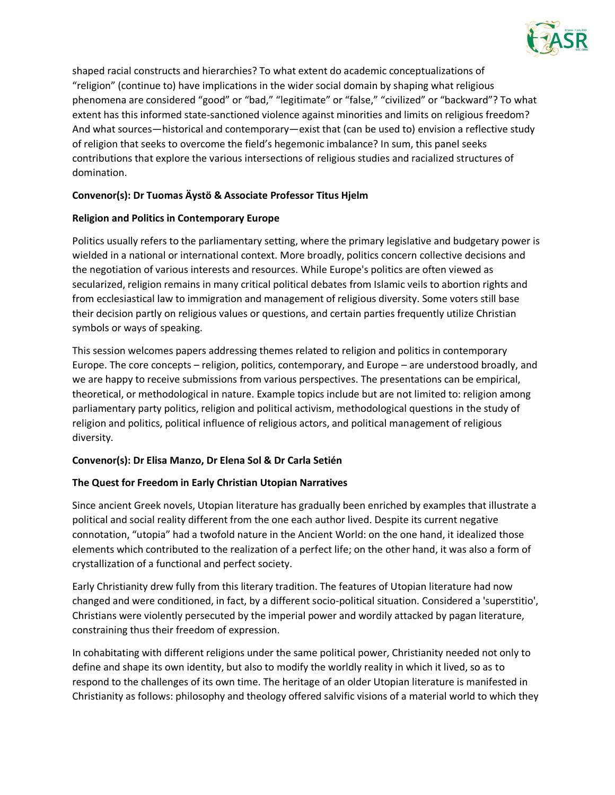

shaped racial constructs and hierarchies? To what extent do academic conceptualizations of "religion" (continue to) have implications in the wider social domain by shaping what religious phenomena are considered "good" or "bad," "legitimate" or "false," "civilized" or "backward"? To what extent has this informed state-sanctioned violence against minorities and limits on religious freedom? And what sources—historical and contemporary—exist that (can be used to) envision a reflective study of religion that seeks to overcome the field's hegemonic imbalance? In sum, this panel seeks contributions that explore the various intersections of religious studies and racialized structures of domination.

# **Convenor(s): Dr Tuomas Äystö & Associate Professor Titus Hjelm**

# **Religion and Politics in Contemporary Europe**

Politics usually refers to the parliamentary setting, where the primary legislative and budgetary power is wielded in a national or international context. More broadly, politics concern collective decisions and the negotiation of various interests and resources. While Europe's politics are often viewed as secularized, religion remains in many critical political debates from Islamic veils to abortion rights and from ecclesiastical law to immigration and management of religious diversity. Some voters still base their decision partly on religious values or questions, and certain parties frequently utilize Christian symbols or ways of speaking.

This session welcomes papers addressing themes related to religion and politics in contemporary Europe. The core concepts – religion, politics, contemporary, and Europe – are understood broadly, and we are happy to receive submissions from various perspectives. The presentations can be empirical, theoretical, or methodological in nature. Example topics include but are not limited to: religion among parliamentary party politics, religion and political activism, methodological questions in the study of religion and politics, political influence of religious actors, and political management of religious diversity.

# **Convenor(s): Dr Elisa Manzo, Dr Elena Sol & Dr Carla Setién**

# **The Quest for Freedom in Early Christian Utopian Narratives**

Since ancient Greek novels, Utopian literature has gradually been enriched by examples that illustrate a political and social reality different from the one each author lived. Despite its current negative connotation, "utopia" had a twofold nature in the Ancient World: on the one hand, it idealized those elements which contributed to the realization of a perfect life; on the other hand, it was also a form of crystallization of a functional and perfect society.

Early Christianity drew fully from this literary tradition. The features of Utopian literature had now changed and were conditioned, in fact, by a different socio-political situation. Considered a 'superstitio', Christians were violently persecuted by the imperial power and wordily attacked by pagan literature, constraining thus their freedom of expression.

In cohabitating with different religions under the same political power, Christianity needed not only to define and shape its own identity, but also to modify the worldly reality in which it lived, so as to respond to the challenges of its own time. The heritage of an older Utopian literature is manifested in Christianity as follows: philosophy and theology offered salvific visions of a material world to which they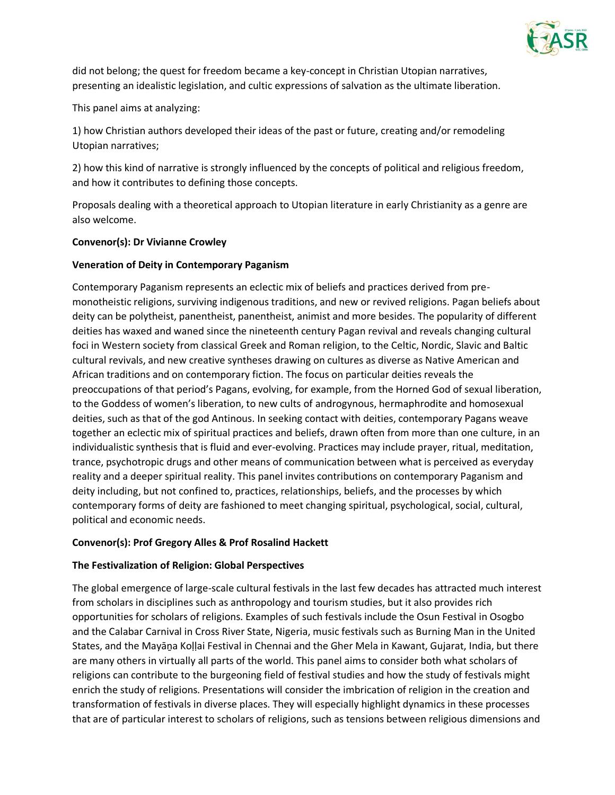

did not belong; the quest for freedom became a key-concept in Christian Utopian narratives, presenting an idealistic legislation, and cultic expressions of salvation as the ultimate liberation.

This panel aims at analyzing:

1) how Christian authors developed their ideas of the past or future, creating and/or remodeling Utopian narratives;

2) how this kind of narrative is strongly influenced by the concepts of political and religious freedom, and how it contributes to defining those concepts.

Proposals dealing with a theoretical approach to Utopian literature in early Christianity as a genre are also welcome.

#### **Convenor(s): Dr Vivianne Crowley**

# **Veneration of Deity in Contemporary Paganism**

Contemporary Paganism represents an eclectic mix of beliefs and practices derived from premonotheistic religions, surviving indigenous traditions, and new or revived religions. Pagan beliefs about deity can be polytheist, panentheist, panentheist, animist and more besides. The popularity of different deities has waxed and waned since the nineteenth century Pagan revival and reveals changing cultural foci in Western society from classical Greek and Roman religion, to the Celtic, Nordic, Slavic and Baltic cultural revivals, and new creative syntheses drawing on cultures as diverse as Native American and African traditions and on contemporary fiction. The focus on particular deities reveals the preoccupations of that period's Pagans, evolving, for example, from the Horned God of sexual liberation, to the Goddess of women's liberation, to new cults of androgynous, hermaphrodite and homosexual deities, such as that of the god Antinous. In seeking contact with deities, contemporary Pagans weave together an eclectic mix of spiritual practices and beliefs, drawn often from more than one culture, in an individualistic synthesis that is fluid and ever-evolving. Practices may include prayer, ritual, meditation, trance, psychotropic drugs and other means of communication between what is perceived as everyday reality and a deeper spiritual reality. This panel invites contributions on contemporary Paganism and deity including, but not confined to, practices, relationships, beliefs, and the processes by which contemporary forms of deity are fashioned to meet changing spiritual, psychological, social, cultural, political and economic needs.

#### **Convenor(s): Prof Gregory Alles & Prof Rosalind Hackett**

#### **The Festivalization of Religion: Global Perspectives**

The global emergence of large-scale cultural festivals in the last few decades has attracted much interest from scholars in disciplines such as anthropology and tourism studies, but it also provides rich opportunities for scholars of religions. Examples of such festivals include the Osun Festival in Osogbo and the Calabar Carnival in Cross River State, Nigeria, music festivals such as Burning Man in the United States, and the Mayāṉa Koḷḷai Festival in Chennai and the Gher Mela in Kawant, Gujarat, India, but there are many others in virtually all parts of the world. This panel aims to consider both what scholars of religions can contribute to the burgeoning field of festival studies and how the study of festivals might enrich the study of religions. Presentations will consider the imbrication of religion in the creation and transformation of festivals in diverse places. They will especially highlight dynamics in these processes that are of particular interest to scholars of religions, such as tensions between religious dimensions and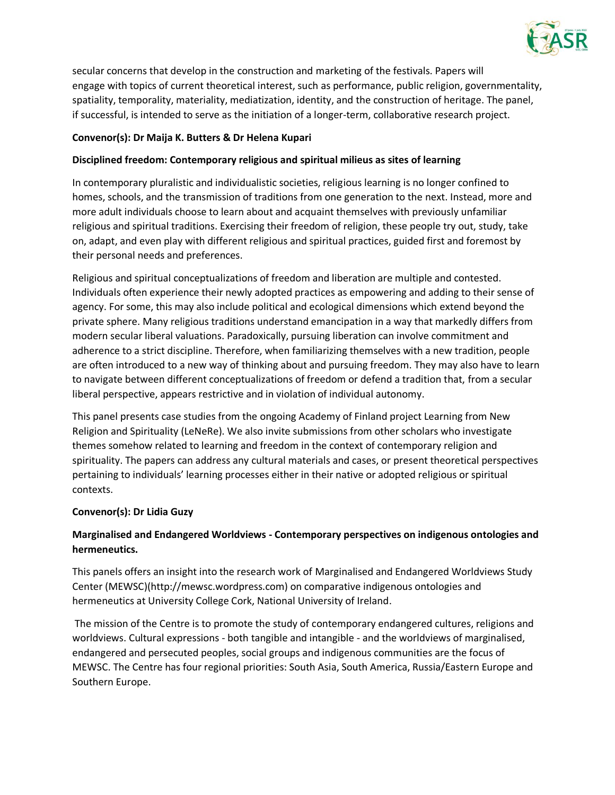

secular concerns that develop in the construction and marketing of the festivals. Papers will engage with topics of current theoretical interest, such as performance, public religion, governmentality, spatiality, temporality, materiality, mediatization, identity, and the construction of heritage. The panel, if successful, is intended to serve as the initiation of a longer-term, collaborative research project.

# **Convenor(s): Dr Maija K. Butters & Dr Helena Kupari**

# **Disciplined freedom: Contemporary religious and spiritual milieus as sites of learning**

In contemporary pluralistic and individualistic societies, religious learning is no longer confined to homes, schools, and the transmission of traditions from one generation to the next. Instead, more and more adult individuals choose to learn about and acquaint themselves with previously unfamiliar religious and spiritual traditions. Exercising their freedom of religion, these people try out, study, take on, adapt, and even play with different religious and spiritual practices, guided first and foremost by their personal needs and preferences.

Religious and spiritual conceptualizations of freedom and liberation are multiple and contested. Individuals often experience their newly adopted practices as empowering and adding to their sense of agency. For some, this may also include political and ecological dimensions which extend beyond the private sphere. Many religious traditions understand emancipation in a way that markedly differs from modern secular liberal valuations. Paradoxically, pursuing liberation can involve commitment and adherence to a strict discipline. Therefore, when familiarizing themselves with a new tradition, people are often introduced to a new way of thinking about and pursuing freedom. They may also have to learn to navigate between different conceptualizations of freedom or defend a tradition that, from a secular liberal perspective, appears restrictive and in violation of individual autonomy.

This panel presents case studies from the ongoing Academy of Finland project Learning from New Religion and Spirituality (LeNeRe). We also invite submissions from other scholars who investigate themes somehow related to learning and freedom in the context of contemporary religion and spirituality. The papers can address any cultural materials and cases, or present theoretical perspectives pertaining to individuals' learning processes either in their native or adopted religious or spiritual contexts.

#### **Convenor(s): Dr Lidia Guzy**

# **Marginalised and Endangered Worldviews - Contemporary perspectives on indigenous ontologies and hermeneutics.**

This panels offers an insight into the research work of Marginalised and Endangered Worldviews Study Center (MEWSC)(http://mewsc.wordpress.com) on comparative indigenous ontologies and hermeneutics at University College Cork, National University of Ireland.

The mission of the Centre is to promote the study of contemporary endangered cultures, religions and worldviews. Cultural expressions - both tangible and intangible - and the worldviews of marginalised, endangered and persecuted peoples, social groups and indigenous communities are the focus of MEWSC. The Centre has four regional priorities: South Asia, South America, Russia/Eastern Europe and Southern Europe.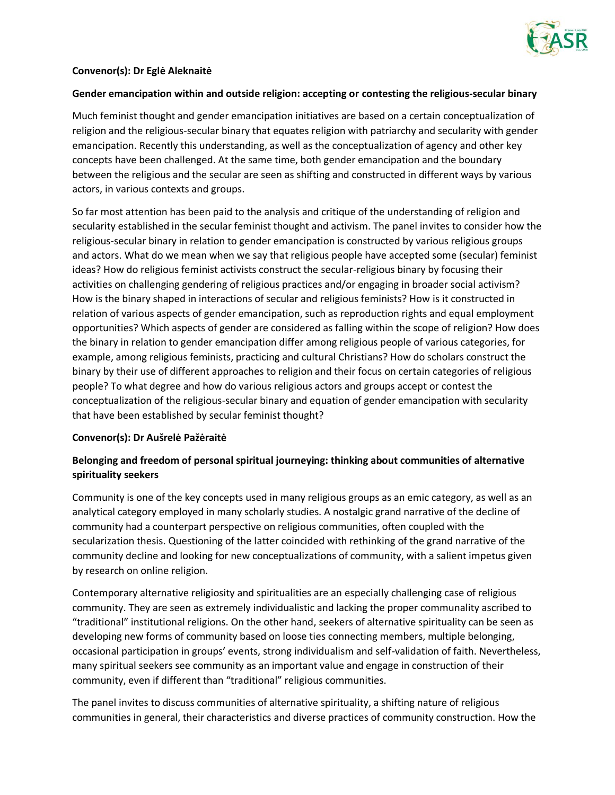

# **Convenor(s): Dr Eglė Aleknaitė**

#### **Gender emancipation within and outside religion: accepting or contesting the religious-secular binary**

Much feminist thought and gender emancipation initiatives are based on a certain conceptualization of religion and the religious-secular binary that equates religion with patriarchy and secularity with gender emancipation. Recently this understanding, as well as the conceptualization of agency and other key concepts have been challenged. At the same time, both gender emancipation and the boundary between the religious and the secular are seen as shifting and constructed in different ways by various actors, in various contexts and groups.

So far most attention has been paid to the analysis and critique of the understanding of religion and secularity established in the secular feminist thought and activism. The panel invites to consider how the religious-secular binary in relation to gender emancipation is constructed by various religious groups and actors. What do we mean when we say that religious people have accepted some (secular) feminist ideas? How do religious feminist activists construct the secular-religious binary by focusing their activities on challenging gendering of religious practices and/or engaging in broader social activism? How is the binary shaped in interactions of secular and religious feminists? How is it constructed in relation of various aspects of gender emancipation, such as reproduction rights and equal employment opportunities? Which aspects of gender are considered as falling within the scope of religion? How does the binary in relation to gender emancipation differ among religious people of various categories, for example, among religious feminists, practicing and cultural Christians? How do scholars construct the binary by their use of different approaches to religion and their focus on certain categories of religious people? To what degree and how do various religious actors and groups accept or contest the conceptualization of the religious-secular binary and equation of gender emancipation with secularity that have been established by secular feminist thought?

#### **Convenor(s): Dr Aušrelė Pažėraitė**

# **Belonging and freedom of personal spiritual journeying: thinking about communities of alternative spirituality seekers**

Community is one of the key concepts used in many religious groups as an emic category, as well as an analytical category employed in many scholarly studies. A nostalgic grand narrative of the decline of community had a counterpart perspective on religious communities, often coupled with the secularization thesis. Questioning of the latter coincided with rethinking of the grand narrative of the community decline and looking for new conceptualizations of community, with a salient impetus given by research on online religion.

Contemporary alternative religiosity and spiritualities are an especially challenging case of religious community. They are seen as extremely individualistic and lacking the proper communality ascribed to "traditional" institutional religions. On the other hand, seekers of alternative spirituality can be seen as developing new forms of community based on loose ties connecting members, multiple belonging, occasional participation in groups' events, strong individualism and self-validation of faith. Nevertheless, many spiritual seekers see community as an important value and engage in construction of their community, even if different than "traditional" religious communities.

The panel invites to discuss communities of alternative spirituality, a shifting nature of religious communities in general, their characteristics and diverse practices of community construction. How the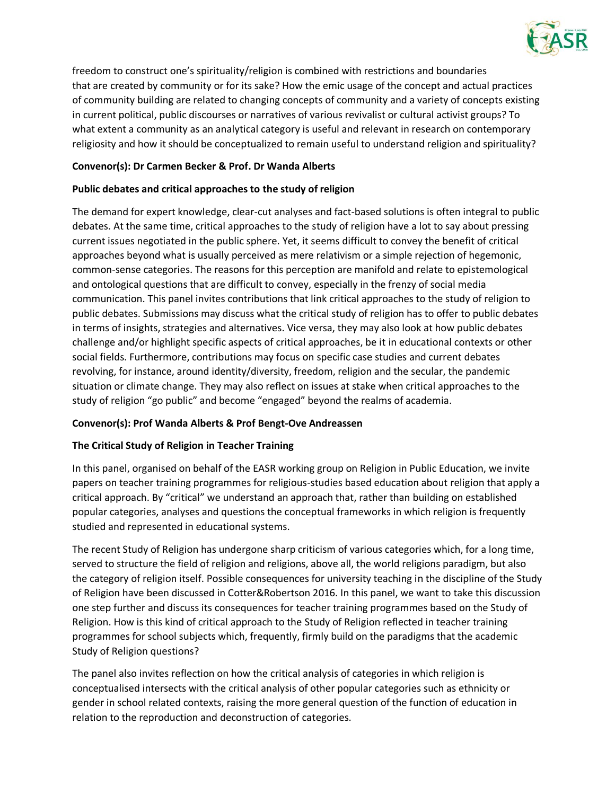

freedom to construct one's spirituality/religion is combined with restrictions and boundaries that are created by community or for its sake? How the emic usage of the concept and actual practices of community building are related to changing concepts of community and a variety of concepts existing in current political, public discourses or narratives of various revivalist or cultural activist groups? To what extent a community as an analytical category is useful and relevant in research on contemporary religiosity and how it should be conceptualized to remain useful to understand religion and spirituality?

# **Convenor(s): Dr Carmen Becker & Prof. Dr Wanda Alberts**

# **Public debates and critical approaches to the study of religion**

The demand for expert knowledge, clear-cut analyses and fact-based solutions is often integral to public debates. At the same time, critical approaches to the study of religion have a lot to say about pressing current issues negotiated in the public sphere. Yet, it seems difficult to convey the benefit of critical approaches beyond what is usually perceived as mere relativism or a simple rejection of hegemonic, common-sense categories. The reasons for this perception are manifold and relate to epistemological and ontological questions that are difficult to convey, especially in the frenzy of social media communication. This panel invites contributions that link critical approaches to the study of religion to public debates. Submissions may discuss what the critical study of religion has to offer to public debates in terms of insights, strategies and alternatives. Vice versa, they may also look at how public debates challenge and/or highlight specific aspects of critical approaches, be it in educational contexts or other social fields. Furthermore, contributions may focus on specific case studies and current debates revolving, for instance, around identity/diversity, freedom, religion and the secular, the pandemic situation or climate change. They may also reflect on issues at stake when critical approaches to the study of religion "go public" and become "engaged" beyond the realms of academia.

# **Convenor(s): Prof Wanda Alberts & Prof Bengt-Ove Andreassen**

# **The Critical Study of Religion in Teacher Training**

In this panel, organised on behalf of the EASR working group on Religion in Public Education, we invite papers on teacher training programmes for religious-studies based education about religion that apply a critical approach. By "critical" we understand an approach that, rather than building on established popular categories, analyses and questions the conceptual frameworks in which religion is frequently studied and represented in educational systems.

The recent Study of Religion has undergone sharp criticism of various categories which, for a long time, served to structure the field of religion and religions, above all, the world religions paradigm, but also the category of religion itself. Possible consequences for university teaching in the discipline of the Study of Religion have been discussed in Cotter&Robertson 2016. In this panel, we want to take this discussion one step further and discuss its consequences for teacher training programmes based on the Study of Religion. How is this kind of critical approach to the Study of Religion reflected in teacher training programmes for school subjects which, frequently, firmly build on the paradigms that the academic Study of Religion questions?

The panel also invites reflection on how the critical analysis of categories in which religion is conceptualised intersects with the critical analysis of other popular categories such as ethnicity or gender in school related contexts, raising the more general question of the function of education in relation to the reproduction and deconstruction of categories.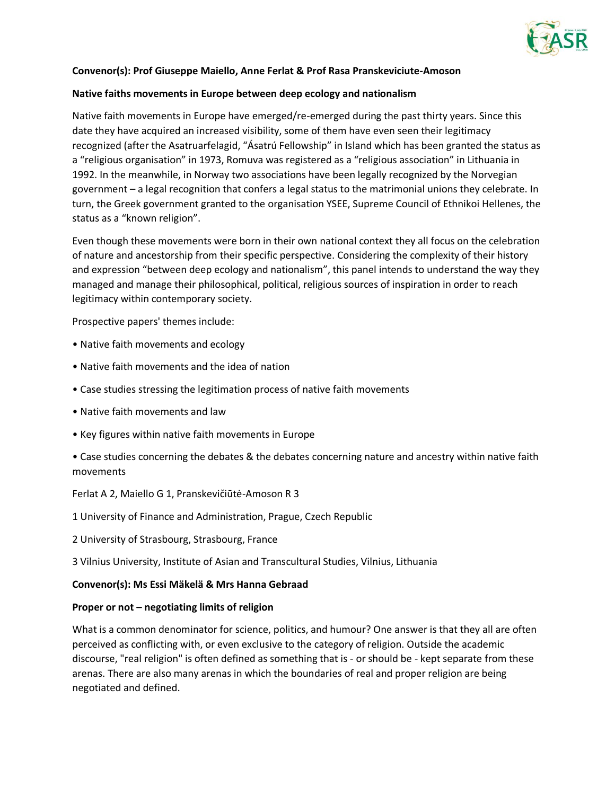

#### **Convenor(s): Prof Giuseppe Maiello, Anne Ferlat & Prof Rasa Pranskeviciute-Amoson**

#### **Native faiths movements in Europe between deep ecology and nationalism**

Native faith movements in Europe have emerged/re-emerged during the past thirty years. Since this date they have acquired an increased visibility, some of them have even seen their legitimacy recognized (after the Asatruarfelagid, "Ásatrú Fellowship" in Island which has been granted the status as a "religious organisation" in 1973, Romuva was registered as a "religious association" in Lithuania in 1992. In the meanwhile, in Norway two associations have been legally recognized by the Norvegian government – a legal recognition that confers a legal status to the matrimonial unions they celebrate. In turn, the Greek government granted to the organisation YSEE, Supreme Council of Ethnikoi Hellenes, the status as a "known religion".

Even though these movements were born in their own national context they all focus on the celebration of nature and ancestorship from their specific perspective. Considering the complexity of their history and expression "between deep ecology and nationalism", this panel intends to understand the way they managed and manage their philosophical, political, religious sources of inspiration in order to reach legitimacy within contemporary society.

Prospective papers' themes include:

- Native faith movements and ecology
- Native faith movements and the idea of nation
- Case studies stressing the legitimation process of native faith movements
- Native faith movements and law
- Key figures within native faith movements in Europe
- Case studies concerning the debates & the debates concerning nature and ancestry within native faith movements

Ferlat A 2, Maiello G 1, Pranskevičiūtė-Amoson R 3

1 University of Finance and Administration, Prague, Czech Republic

2 University of Strasbourg, Strasbourg, France

3 Vilnius University, Institute of Asian and Transcultural Studies, Vilnius, Lithuania

#### **Convenor(s): Ms Essi Mäkelä & Mrs Hanna Gebraad**

#### **Proper or not – negotiating limits of religion**

What is a common denominator for science, politics, and humour? One answer is that they all are often perceived as conflicting with, or even exclusive to the category of religion. Outside the academic discourse, "real religion" is often defined as something that is - or should be - kept separate from these arenas. There are also many arenas in which the boundaries of real and proper religion are being negotiated and defined.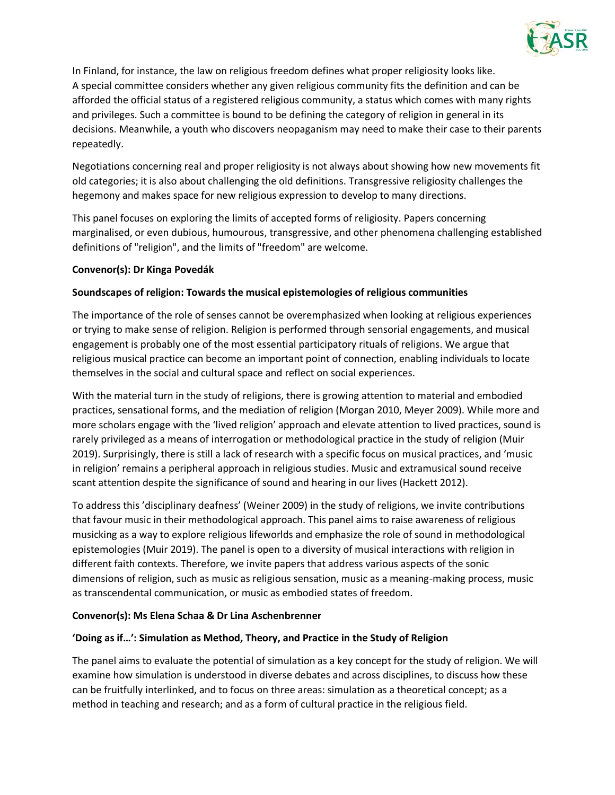

In Finland, for instance, the law on religious freedom defines what proper religiosity looks like. A special committee considers whether any given religious community fits the definition and can be afforded the official status of a registered religious community, a status which comes with many rights and privileges. Such a committee is bound to be defining the category of religion in general in its decisions. Meanwhile, a youth who discovers neopaganism may need to make their case to their parents repeatedly.

Negotiations concerning real and proper religiosity is not always about showing how new movements fit old categories; it is also about challenging the old definitions. Transgressive religiosity challenges the hegemony and makes space for new religious expression to develop to many directions.

This panel focuses on exploring the limits of accepted forms of religiosity. Papers concerning marginalised, or even dubious, humourous, transgressive, and other phenomena challenging established definitions of "religion", and the limits of "freedom" are welcome.

# **Convenor(s): Dr Kinga Povedák**

# **Soundscapes of religion: Towards the musical epistemologies of religious communities**

The importance of the role of senses cannot be overemphasized when looking at religious experiences or trying to make sense of religion. Religion is performed through sensorial engagements, and musical engagement is probably one of the most essential participatory rituals of religions. We argue that religious musical practice can become an important point of connection, enabling individuals to locate themselves in the social and cultural space and reflect on social experiences.

With the material turn in the study of religions, there is growing attention to material and embodied practices, sensational forms, and the mediation of religion (Morgan 2010, Meyer 2009). While more and more scholars engage with the 'lived religion' approach and elevate attention to lived practices, sound is rarely privileged as a means of interrogation or methodological practice in the study of religion (Muir 2019). Surprisingly, there is still a lack of research with a specific focus on musical practices, and 'music in religion' remains a peripheral approach in religious studies. Music and extramusical sound receive scant attention despite the significance of sound and hearing in our lives (Hackett 2012).

To address this 'disciplinary deafness' (Weiner 2009) in the study of religions, we invite contributions that favour music in their methodological approach. This panel aims to raise awareness of religious musicking as a way to explore religious lifeworlds and emphasize the role of sound in methodological epistemologies (Muir 2019). The panel is open to a diversity of musical interactions with religion in different faith contexts. Therefore, we invite papers that address various aspects of the sonic dimensions of religion, such as music as religious sensation, music as a meaning-making process, music as transcendental communication, or music as embodied states of freedom.

#### **Convenor(s): Ms Elena Schaa & Dr Lina Aschenbrenner**

#### **'Doing as if…': Simulation as Method, Theory, and Practice in the Study of Religion**

The panel aims to evaluate the potential of simulation as a key concept for the study of religion. We will examine how simulation is understood in diverse debates and across disciplines, to discuss how these can be fruitfully interlinked, and to focus on three areas: simulation as a theoretical concept; as a method in teaching and research; and as a form of cultural practice in the religious field.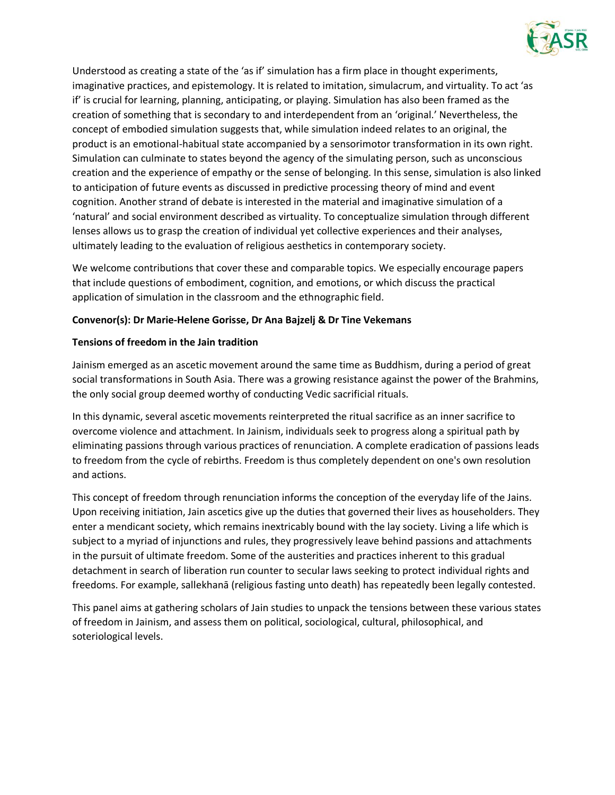

Understood as creating a state of the 'as if' simulation has a firm place in thought experiments, imaginative practices, and epistemology. It is related to imitation, simulacrum, and virtuality. To act 'as if' is crucial for learning, planning, anticipating, or playing. Simulation has also been framed as the creation of something that is secondary to and interdependent from an 'original.' Nevertheless, the concept of embodied simulation suggests that, while simulation indeed relates to an original, the product is an emotional-habitual state accompanied by a sensorimotor transformation in its own right. Simulation can culminate to states beyond the agency of the simulating person, such as unconscious creation and the experience of empathy or the sense of belonging. In this sense, simulation is also linked to anticipation of future events as discussed in predictive processing theory of mind and event cognition. Another strand of debate is interested in the material and imaginative simulation of a 'natural' and social environment described as virtuality. To conceptualize simulation through different lenses allows us to grasp the creation of individual yet collective experiences and their analyses, ultimately leading to the evaluation of religious aesthetics in contemporary society.

We welcome contributions that cover these and comparable topics. We especially encourage papers that include questions of embodiment, cognition, and emotions, or which discuss the practical application of simulation in the classroom and the ethnographic field.

# **Convenor(s): Dr Marie-Helene Gorisse, Dr Ana Bajzelj & Dr Tine Vekemans**

#### **Tensions of freedom in the Jain tradition**

Jainism emerged as an ascetic movement around the same time as Buddhism, during a period of great social transformations in South Asia. There was a growing resistance against the power of the Brahmins, the only social group deemed worthy of conducting Vedic sacrificial rituals.

In this dynamic, several ascetic movements reinterpreted the ritual sacrifice as an inner sacrifice to overcome violence and attachment. In Jainism, individuals seek to progress along a spiritual path by eliminating passions through various practices of renunciation. A complete eradication of passions leads to freedom from the cycle of rebirths. Freedom is thus completely dependent on one's own resolution and actions.

This concept of freedom through renunciation informs the conception of the everyday life of the Jains. Upon receiving initiation, Jain ascetics give up the duties that governed their lives as householders. They enter a mendicant society, which remains inextricably bound with the lay society. Living a life which is subject to a myriad of injunctions and rules, they progressively leave behind passions and attachments in the pursuit of ultimate freedom. Some of the austerities and practices inherent to this gradual detachment in search of liberation run counter to secular laws seeking to protect individual rights and freedoms. For example, sallekhanā (religious fasting unto death) has repeatedly been legally contested.

This panel aims at gathering scholars of Jain studies to unpack the tensions between these various states of freedom in Jainism, and assess them on political, sociological, cultural, philosophical, and soteriological levels.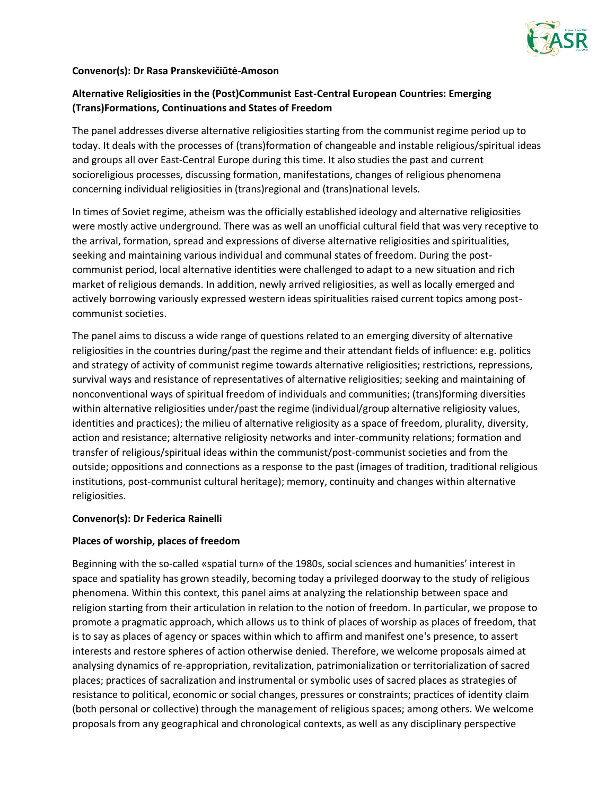

#### **Convenor(s): Dr Rasa Pranskevičiūtė-Amoson**

# **Alternative Religiosities in the (Post)Communist East-Central European Countries: Emerging (Trans)Formations, Continuations and States of Freedom**

The panel addresses diverse alternative religiosities starting from the communist regime period up to today. It deals with the processes of (trans)formation of changeable and instable religious/spiritual ideas and groups all over East-Central Europe during this time. It also studies the past and current socioreligious processes, discussing formation, manifestations, changes of religious phenomena concerning individual religiosities in (trans)regional and (trans)national levels.

In times of Soviet regime, atheism was the officially established ideology and alternative religiosities were mostly active underground. There was as well an unofficial cultural field that was very receptive to the arrival, formation, spread and expressions of diverse alternative religiosities and spiritualities, seeking and maintaining various individual and communal states of freedom. During the postcommunist period, local alternative identities were challenged to adapt to a new situation and rich market of religious demands. In addition, newly arrived religiosities, as well as locally emerged and actively borrowing variously expressed western ideas spiritualities raised current topics among postcommunist societies.

The panel aims to discuss a wide range of questions related to an emerging diversity of alternative religiosities in the countries during/past the regime and their attendant fields of influence: e.g. politics and strategy of activity of communist regime towards alternative religiosities; restrictions, repressions, survival ways and resistance of representatives of alternative religiosities; seeking and maintaining of nonconventional ways of spiritual freedom of individuals and communities; (trans)forming diversities within alternative religiosities under/past the regime (individual/group alternative religiosity values, identities and practices); the milieu of alternative religiosity as a space of freedom, plurality, diversity, action and resistance; alternative religiosity networks and inter-community relations; formation and transfer of religious/spiritual ideas within the communist/post-communist societies and from the outside; oppositions and connections as a response to the past (images of tradition, traditional religious institutions, post-communist cultural heritage); memory, continuity and changes within alternative religiosities.

#### **Convenor(s): Dr Federica Rainelli**

#### **Places of worship, places of freedom**

Beginning with the so-called «spatial turn» of the 1980s, social sciences and humanities' interest in space and spatiality has grown steadily, becoming today a privileged doorway to the study of religious phenomena. Within this context, this panel aims at analyzing the relationship between space and religion starting from their articulation in relation to the notion of freedom. In particular, we propose to promote a pragmatic approach, which allows us to think of places of worship as places of freedom, that is to say as places of agency or spaces within which to affirm and manifest one's presence, to assert interests and restore spheres of action otherwise denied. Therefore, we welcome proposals aimed at analysing dynamics of re-appropriation, revitalization, patrimonialization or territorialization of sacred places; practices of sacralization and instrumental or symbolic uses of sacred places as strategies of resistance to political, economic or social changes, pressures or constraints; practices of identity claim (both personal or collective) through the management of religious spaces; among others. We welcome proposals from any geographical and chronological contexts, as well as any disciplinary perspective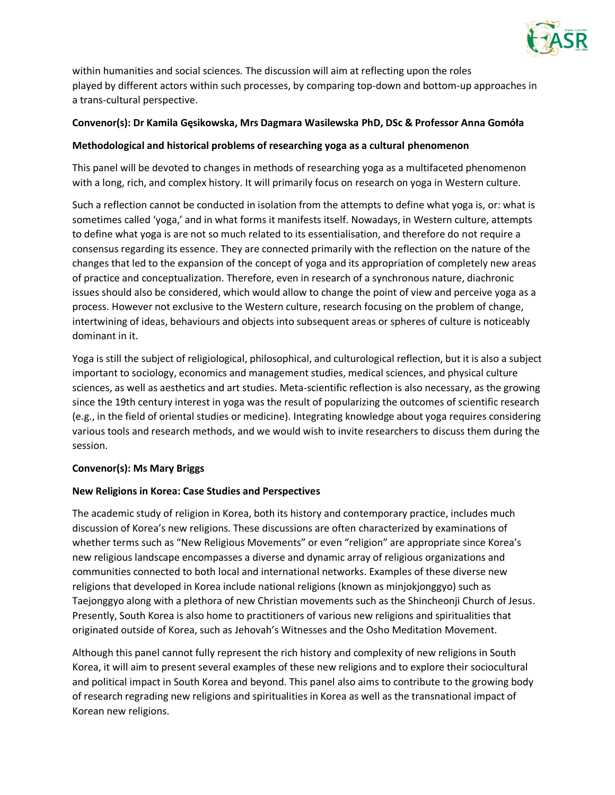

within humanities and social sciences. The discussion will aim at reflecting upon the roles played by different actors within such processes, by comparing top-down and bottom-up approaches in a trans-cultural perspective.

# **Convenor(s): Dr Kamila Gęsikowska, Mrs Dagmara Wasilewska PhD, DSc & Professor Anna Gomóła**

### **Methodological and historical problems of researching yoga as a cultural phenomenon**

This panel will be devoted to changes in methods of researching yoga as a multifaceted phenomenon with a long, rich, and complex history. It will primarily focus on research on yoga in Western culture.

Such a reflection cannot be conducted in isolation from the attempts to define what yoga is, or: what is sometimes called 'yoga,' and in what forms it manifests itself. Nowadays, in Western culture, attempts to define what yoga is are not so much related to its essentialisation, and therefore do not require a consensus regarding its essence. They are connected primarily with the reflection on the nature of the changes that led to the expansion of the concept of yoga and its appropriation of completely new areas of practice and conceptualization. Therefore, even in research of a synchronous nature, diachronic issues should also be considered, which would allow to change the point of view and perceive yoga as a process. However not exclusive to the Western culture, research focusing on the problem of change, intertwining of ideas, behaviours and objects into subsequent areas or spheres of culture is noticeably dominant in it.

Yoga is still the subject of religiological, philosophical, and culturological reflection, but it is also a subject important to sociology, economics and management studies, medical sciences, and physical culture sciences, as well as aesthetics and art studies. Meta-scientific reflection is also necessary, as the growing since the 19th century interest in yoga was the result of popularizing the outcomes of scientific research (e.g., in the field of oriental studies or medicine). Integrating knowledge about yoga requires considering various tools and research methods, and we would wish to invite researchers to discuss them during the session.

# **Convenor(s): Ms Mary Briggs**

#### **New Religions in Korea: Case Studies and Perspectives**

The academic study of religion in Korea, both its history and contemporary practice, includes much discussion of Korea's new religions. These discussions are often characterized by examinations of whether terms such as "New Religious Movements" or even "religion" are appropriate since Korea's new religious landscape encompasses a diverse and dynamic array of religious organizations and communities connected to both local and international networks. Examples of these diverse new religions that developed in Korea include national religions (known as minjokjonggyo) such as Taejonggyo along with a plethora of new Christian movements such as the Shincheonji Church of Jesus. Presently, South Korea is also home to practitioners of various new religions and spiritualities that originated outside of Korea, such as Jehovah's Witnesses and the Osho Meditation Movement.

Although this panel cannot fully represent the rich history and complexity of new religions in South Korea, it will aim to present several examples of these new religions and to explore their sociocultural and political impact in South Korea and beyond. This panel also aims to contribute to the growing body of research regrading new religions and spiritualities in Korea as well as the transnational impact of Korean new religions.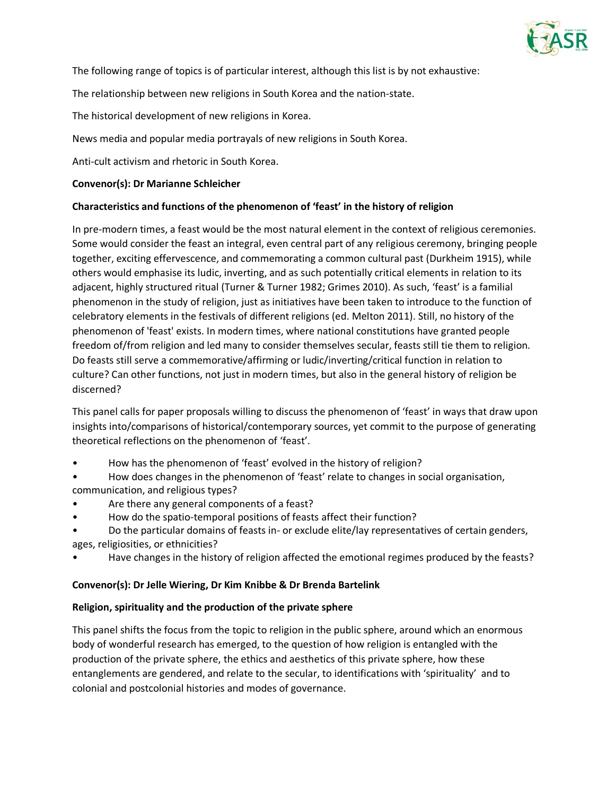

The following range of topics is of particular interest, although this list is by not exhaustive:

The relationship between new religions in South Korea and the nation-state.

The historical development of new religions in Korea.

News media and popular media portrayals of new religions in South Korea.

Anti-cult activism and rhetoric in South Korea.

### **Convenor(s): Dr Marianne Schleicher**

# **Characteristics and functions of the phenomenon of 'feast' in the history of religion**

In pre-modern times, a feast would be the most natural element in the context of religious ceremonies. Some would consider the feast an integral, even central part of any religious ceremony, bringing people together, exciting effervescence, and commemorating a common cultural past (Durkheim 1915), while others would emphasise its ludic, inverting, and as such potentially critical elements in relation to its adjacent, highly structured ritual (Turner & Turner 1982; Grimes 2010). As such, 'feast' is a familial phenomenon in the study of religion, just as initiatives have been taken to introduce to the function of celebratory elements in the festivals of different religions (ed. Melton 2011). Still, no history of the phenomenon of 'feast' exists. In modern times, where national constitutions have granted people freedom of/from religion and led many to consider themselves secular, feasts still tie them to religion. Do feasts still serve a commemorative/affirming or ludic/inverting/critical function in relation to culture? Can other functions, not just in modern times, but also in the general history of religion be discerned?

This panel calls for paper proposals willing to discuss the phenomenon of 'feast' in ways that draw upon insights into/comparisons of historical/contemporary sources, yet commit to the purpose of generating theoretical reflections on the phenomenon of 'feast'.

- How has the phenomenon of 'feast' evolved in the history of religion?
- How does changes in the phenomenon of 'feast' relate to changes in social organisation, communication, and religious types?
- Are there any general components of a feast?
- How do the spatio-temporal positions of feasts affect their function?
- Do the particular domains of feasts in- or exclude elite/lay representatives of certain genders, ages, religiosities, or ethnicities?
- Have changes in the history of religion affected the emotional regimes produced by the feasts?

#### **Convenor(s): Dr Jelle Wiering, Dr Kim Knibbe & Dr Brenda Bartelink**

#### **Religion, spirituality and the production of the private sphere**

This panel shifts the focus from the topic to religion in the public sphere, around which an enormous body of wonderful research has emerged, to the question of how religion is entangled with the production of the private sphere, the ethics and aesthetics of this private sphere, how these entanglements are gendered, and relate to the secular, to identifications with 'spirituality' and to colonial and postcolonial histories and modes of governance.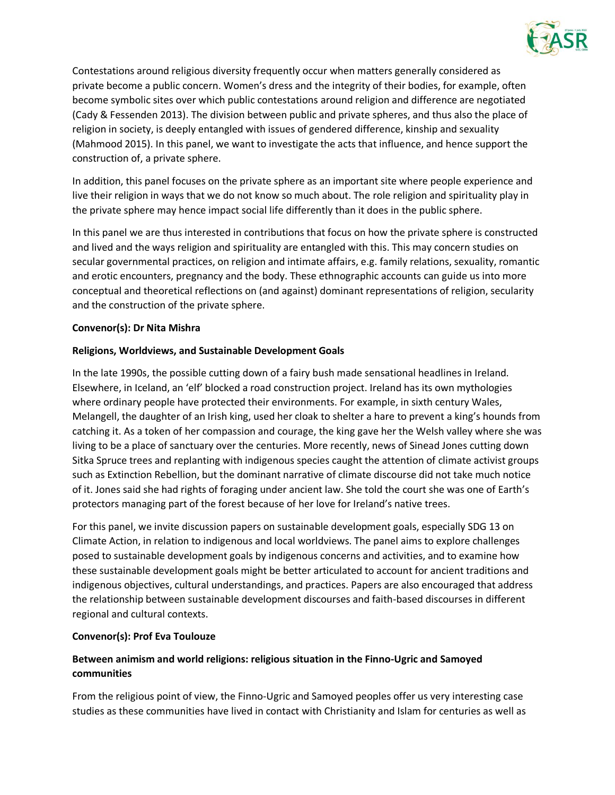

Contestations around religious diversity frequently occur when matters generally considered as private become a public concern. Women's dress and the integrity of their bodies, for example, often become symbolic sites over which public contestations around religion and difference are negotiated (Cady & Fessenden 2013). The division between public and private spheres, and thus also the place of religion in society, is deeply entangled with issues of gendered difference, kinship and sexuality (Mahmood 2015). In this panel, we want to investigate the acts that influence, and hence support the construction of, a private sphere.

In addition, this panel focuses on the private sphere as an important site where people experience and live their religion in ways that we do not know so much about. The role religion and spirituality play in the private sphere may hence impact social life differently than it does in the public sphere.

In this panel we are thus interested in contributions that focus on how the private sphere is constructed and lived and the ways religion and spirituality are entangled with this. This may concern studies on secular governmental practices, on religion and intimate affairs, e.g. family relations, sexuality, romantic and erotic encounters, pregnancy and the body. These ethnographic accounts can guide us into more conceptual and theoretical reflections on (and against) dominant representations of religion, secularity and the construction of the private sphere.

#### **Convenor(s): Dr Nita Mishra**

#### **Religions, Worldviews, and Sustainable Development Goals**

In the late 1990s, the possible cutting down of a fairy bush made sensational headlines in Ireland. Elsewhere, in Iceland, an 'elf' blocked a road construction project. Ireland has its own mythologies where ordinary people have protected their environments. For example, in sixth century Wales, Melangell, the daughter of an Irish king, used her cloak to shelter a hare to prevent a king's hounds from catching it. As a token of her compassion and courage, the king gave her the Welsh valley where she was living to be a place of sanctuary over the centuries. More recently, news of Sinead Jones cutting down Sitka Spruce trees and replanting with indigenous species caught the attention of climate activist groups such as Extinction Rebellion, but the dominant narrative of climate discourse did not take much notice of it. Jones said she had rights of foraging under ancient law. She told the court she was one of Earth's protectors managing part of the forest because of her love for Ireland's native trees.

For this panel, we invite discussion papers on sustainable development goals, especially SDG 13 on Climate Action, in relation to indigenous and local worldviews. The panel aims to explore challenges posed to sustainable development goals by indigenous concerns and activities, and to examine how these sustainable development goals might be better articulated to account for ancient traditions and indigenous objectives, cultural understandings, and practices. Papers are also encouraged that address the relationship between sustainable development discourses and faith-based discourses in different regional and cultural contexts.

#### **Convenor(s): Prof Eva Toulouze**

# **Between animism and world religions: religious situation in the Finno-Ugric and Samoyed communities**

From the religious point of view, the Finno-Ugric and Samoyed peoples offer us very interesting case studies as these communities have lived in contact with Christianity and Islam for centuries as well as